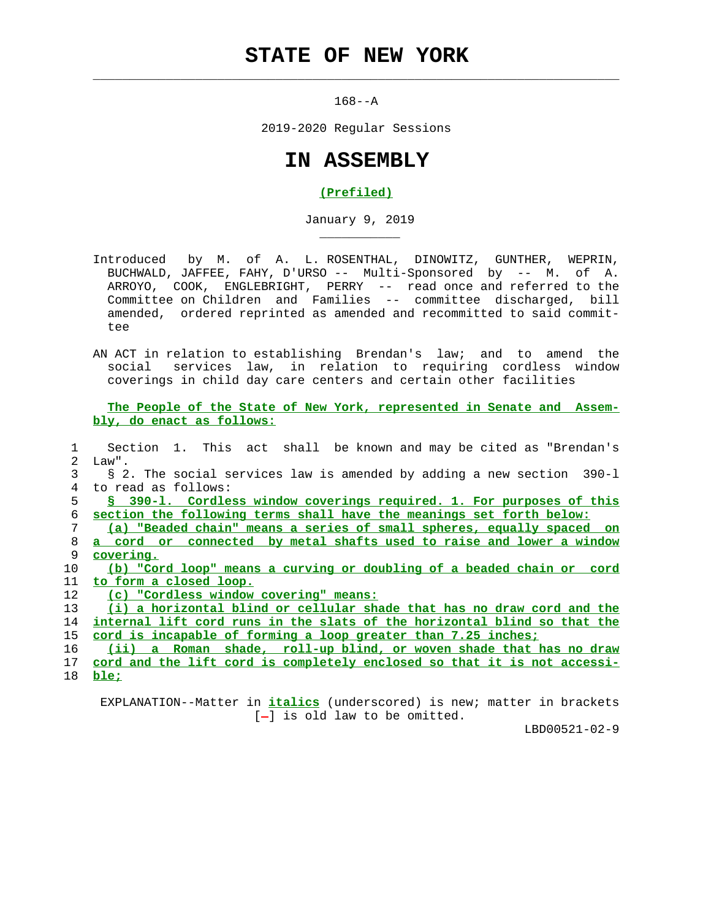## **STATE OF NEW YORK**

 $\mathcal{L}_\text{max} = \frac{1}{2} \sum_{i=1}^{n} \frac{1}{2} \sum_{i=1}^{n} \frac{1}{2} \sum_{i=1}^{n} \frac{1}{2} \sum_{i=1}^{n} \frac{1}{2} \sum_{i=1}^{n} \frac{1}{2} \sum_{i=1}^{n} \frac{1}{2} \sum_{i=1}^{n} \frac{1}{2} \sum_{i=1}^{n} \frac{1}{2} \sum_{i=1}^{n} \frac{1}{2} \sum_{i=1}^{n} \frac{1}{2} \sum_{i=1}^{n} \frac{1}{2} \sum_{i=1}^{n} \frac{1$ 

\_\_\_\_\_\_\_\_\_\_\_

 $168 - -A$ 

2019-2020 Regular Sessions

## **IN ASSEMBLY**

## **(Prefiled)**

January 9, 2019

 Introduced by M. of A. L. ROSENTHAL, DINOWITZ, GUNTHER, WEPRIN, BUCHWALD, JAFFEE, FAHY, D'URSO -- Multi-Sponsored by -- M. of A. ARROYO, COOK, ENGLEBRIGHT, PERRY -- read once and referred to the Committee on Children and Families -- committee discharged, bill amended, ordered reprinted as amended and recommitted to said commit tee

 AN ACT in relation to establishing Brendan's law; and to amend the social services law, in relation to requiring cordless window coverings in child day care centers and certain other facilities

 **The People of the State of New York, represented in Senate and Assem bly, do enact as follows:**

 1 Section 1. This act shall be known and may be cited as "Brendan's 2 Law". 3 § 2. The social services law is amended by adding a new section 390-l 4 to read as follows: **§ 390-l. Cordless window coverings required. 1. For purposes of this section the following terms shall have the meanings set forth below: (a) "Beaded chain" means a series of small spheres, equally spaced on a cord or connected by metal shafts used to raise and lower a window covering. (b) "Cord loop" means a curving or doubling of a beaded chain or cord to form a closed loop. (c) "Cordless window covering" means: (i) a horizontal blind or cellular shade that has no draw cord and the internal lift cord runs in the slats of the horizontal blind so that the cord is incapable of forming a loop greater than 7.25 inches; (ii) a Roman shade, roll-up blind, or woven shade that has no draw cord and the lift cord is completely enclosed so that it is not accessi-** 18 **ble;**

 EXPLANATION--Matter in **italics** (underscored) is new; matter in brackets  $[-]$  is old law to be omitted.

LBD00521-02-9